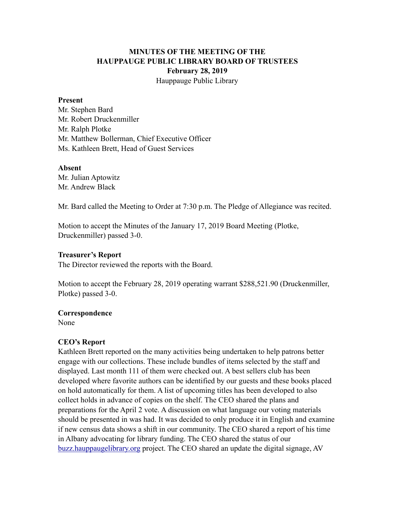# **MINUTES OF THE MEETING OF THE HAUPPAUGE PUBLIC LIBRARY BOARD OF TRUSTEES February 28, 2019** Hauppauge Public Library

#### **Present**

Mr. Stephen Bard Mr. Robert Druckenmiller Mr. Ralph Plotke Mr. Matthew Bollerman, Chief Executive Officer Ms. Kathleen Brett, Head of Guest Services

#### **Absent**

Mr. Julian Aptowitz Mr. Andrew Black

Mr. Bard called the Meeting to Order at 7:30 p.m. The Pledge of Allegiance was recited.

Motion to accept the Minutes of the January 17, 2019 Board Meeting (Plotke, Druckenmiller) passed 3-0.

#### **Treasurer's Report**

The Director reviewed the reports with the Board.

Motion to accept the February 28, 2019 operating warrant \$288,521.90 (Druckenmiller, Plotke) passed 3-0.

#### **Correspondence**

None

#### **CEO's Report**

Kathleen Brett reported on the many activities being undertaken to help patrons better engage with our collections. These include bundles of items selected by the staff and displayed. Last month 111 of them were checked out. A best sellers club has been developed where favorite authors can be identified by our guests and these books placed on hold automatically for them. A list of upcoming titles has been developed to also collect holds in advance of copies on the shelf. The CEO shared the plans and preparations for the April 2 vote. A discussion on what language our voting materials should be presented in was had. It was decided to only produce it in English and examine if new census data shows a shift in our community. The CEO shared a report of his time in Albany advocating for library funding. The CEO shared the status of our [buzz.hauppaugelibrary.org](http://buzz.hauppaugelibrary.org) project. The CEO shared an update the digital signage, AV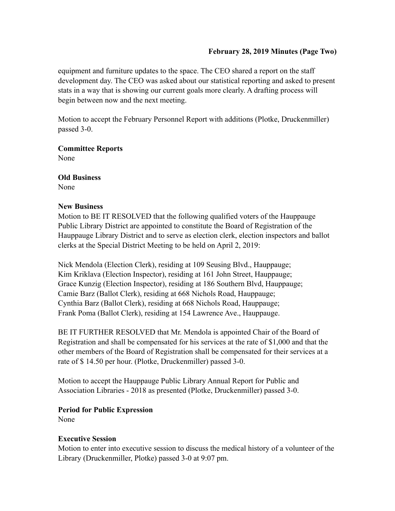## **February 28, 2019 Minutes (Page Two)**

equipment and furniture updates to the space. The CEO shared a report on the staff development day. The CEO was asked about our statistical reporting and asked to present stats in a way that is showing our current goals more clearly. A drafting process will begin between now and the next meeting.

Motion to accept the February Personnel Report with additions (Plotke, Druckenmiller) passed 3-0.

**Committee Reports** 

None

## **Old Business**

None

### **New Business**

Motion to BE IT RESOLVED that the following qualified voters of the Hauppauge Public Library District are appointed to constitute the Board of Registration of the Hauppauge Library District and to serve as election clerk, election inspectors and ballot clerks at the Special District Meeting to be held on April 2, 2019:

Nick Mendola (Election Clerk), residing at 109 Seusing Blvd., Hauppauge; Kim Kriklava (Election Inspector), residing at 161 John Street, Hauppauge; Grace Kunzig (Election Inspector), residing at 186 Southern Blvd, Hauppauge; Camie Barz (Ballot Clerk), residing at 668 Nichols Road, Hauppauge; Cynthia Barz (Ballot Clerk), residing at 668 Nichols Road, Hauppauge; Frank Poma (Ballot Clerk), residing at 154 Lawrence Ave., Hauppauge.

BE IT FURTHER RESOLVED that Mr. Mendola is appointed Chair of the Board of Registration and shall be compensated for his services at the rate of \$1,000 and that the other members of the Board of Registration shall be compensated for their services at a rate of \$ 14.50 per hour. (Plotke, Druckenmiller) passed 3-0.

Motion to accept the Hauppauge Public Library Annual Report for Public and Association Libraries - 2018 as presented (Plotke, Druckenmiller) passed 3-0.

## **Period for Public Expression**

None

## **Executive Session**

Motion to enter into executive session to discuss the medical history of a volunteer of the Library (Druckenmiller, Plotke) passed 3-0 at 9:07 pm.